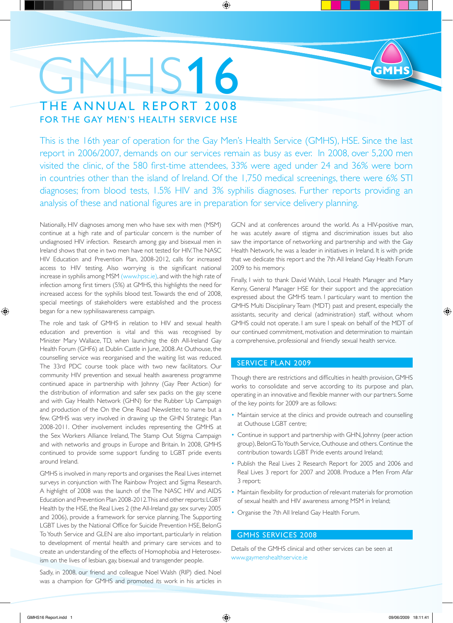## $4HS16$ THE ANNUAL REPORT 2008 FOR THE GAY MEN'S HEALTH SERVICE HSE

This is the 16th year of operation for the Gay Men's Health Service (GMHS), HSE. Since the last report in 2006/2007, demands on our services remain as busy as ever. In 2008, over 5,200 men visited the clinic, of the 580 first-time attendees, 33% were aged under 24 and 36% were born in countries other than the island of Ireland. Of the 1,750 medical screenings, there were 6% STI diagnoses; from blood tests, 1.5% HIV and 3% syphilis diagnoses. Further reports providing an analysis of these and national figures are in preparation for service delivery planning.

 $\bigoplus$ 

Nationally, HIV diagnoses among men who have sex with men (MSM) continue at a high rate and of particular concern is the number of undiagnosed HIV infection. Research among gay and bisexual men in Ireland shows that one in two men have not tested for HIV. The NASC HIV Education and Prevention Plan, 2008-2012, calls for increased access to HIV testing. Also worrying is the significant national increase in syphilis among MSM (www.hpsc.ie), and with the high rate of infection among first timers (5%) at GMHS, this highlights the need for increased access for the syphilis blood test. Towards the end of 2008, special meetings of stakeholders were established and the process began for a new syphilisawareness campaign.

The role and task of GMHS in relation to HIV and sexual health education and prevention is vital and this was recognised by Minister Mary Wallace, TD, when launching the 6th All-Ireland Gay Health Forum (GHF6) at Dublin Castle in June, 2008. At Outhouse, the counselling service was reorganised and the waiting list was reduced. The 33rd PDC course took place with two new facilitators. Our community HIV prevention and sexual health awareness programme continued apace in partnership with Johnny (Gay Peer Action) for the distribution of information and safer sex packs on the gay scene and with Gay Health Network (GHN) for the Rubber Up Campaign and production of the On the One Road Newsletter, to name but a few. GMHS was very involved in drawing up the GHN Strategic Plan 2008-2011. Other involvement includes representing the GMHS at the Sex Workers Alliance Ireland, The Stamp Out Stigma Campaign and with networks and groups in Europe and Britain. In 2008, GMHS continued to provide some support funding to LGBT pride events around Ireland.

GMHS is involved in many reports and organises the Real Lives internet surveys in conjunction with The Rainbow Project and Sigma Research. A highlight of 2008 was the launch of the The NASC HIV and AIDS Education and Prevention Plan 2008-2012. This and other reports: LGBT Health by the HSE, the Real Lives 2 (the All-Ireland gay sex survey 2005 and 2006), provide a framework for service planning. The Supporting LGBT Lives by the National Office for Suicide Prevention HSE, BelonG To Youth Service and GLEN are also important, particularly in relation to development of mental health and primary care services and to create an understanding of the effects of Homophobia and Heterosexism on the lives of lesbian, gay, bisexual and transgender people.

Sadly, in 2008, our friend and colleague Noel Walsh (RIP) died. Noel was a champion for GMHS and promoted its work in his articles in GCN and at conferences around the world. As a HIV-positive man, he was acutely aware of stigma and discrimination issues but also saw the importance of networking and partnership and with the Gay Health Network, he was a leader in initiatives in Ireland. It is with pride that we dedicate this report and the 7th All Ireland Gay Health Forum 2009 to his memory.

Finally, I wish to thank David Walsh, Local Health Manager and Mary Kenny, General Manager HSE for their support and the appreciation expressed about the GMHS team. I particulary want to mention the GMHS Multi Disciplinary Team (MDT) past and present, especially the assistants, security and clerical (administration) staff, without whom GMHS could not operate. I am sure I speak on behalf of the MDT of our continued commitment, motivation and determination to maintain a comprehensive, professional and friendly sexual health service.

#### SERVICE PLAN 2009

Though there are restrictions and difficulties in health provision, GMHS works to consolidate and serve according to its purpose and plan, operating in an innovative and flexible manner with our partners. Some of the key points for 2009 are as follows:

- Maintain service at the clinics and provide outreach and counselling at Outhouse LGBT centre;
- Continue in support and partnership with GHN, Johnny (peer action group), BelonG To Youth Service, Outhouse and others. Continue the contribution towards LGBT Pride events around Ireland;
- Publish the Real Lives 2 Research Report for 2005 and 2006 and Real Lives 3 report for 2007 and 2008. Produce a Men From Afar 3 report;
- Maintain flexibility for production of relevant materials for promotion of sexual health and HIV awareness among MSM in Ireland;
- Organise the 7th All Ireland Gay Health Forum.

#### GMHS SERVICES 2008

Details of the GMHS clinical and other services can be seen at www.gaymenshealthservice.ie

⊕

◈